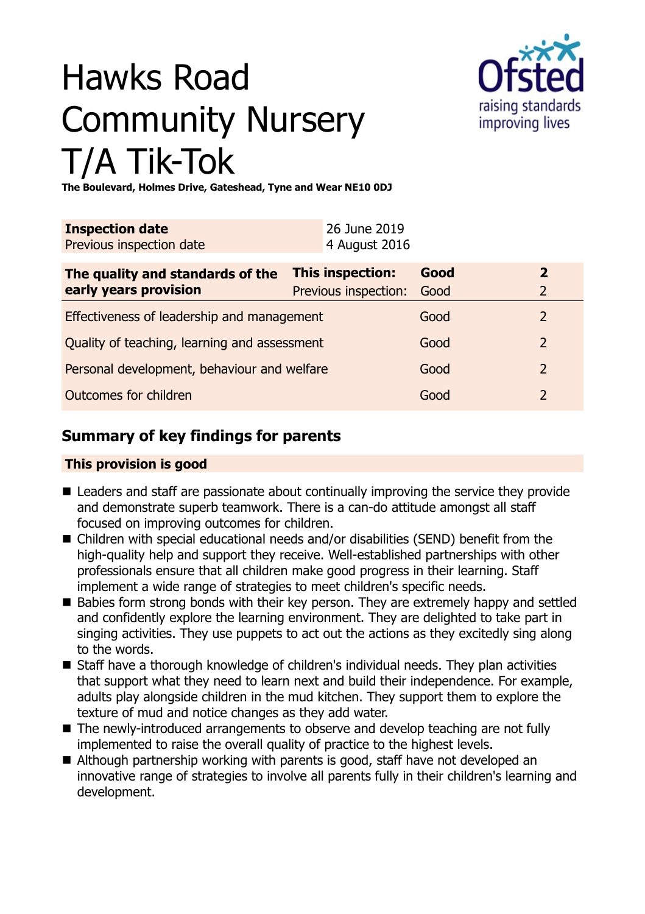# Hawks Road Community Nursery T/A Tik-Tok



**The Boulevard, Holmes Drive, Gateshead, Tyne and Wear NE10 0DJ**

| <b>Inspection date</b><br>Previous inspection date        | 26 June 2019<br>4 August 2016            |              |                          |
|-----------------------------------------------------------|------------------------------------------|--------------|--------------------------|
| The quality and standards of the<br>early years provision | This inspection:<br>Previous inspection: | Good<br>Good | $\overline{2}$<br>2      |
| Effectiveness of leadership and management                |                                          | Good         | 2                        |
| Quality of teaching, learning and assessment              |                                          | Good         | $\overline{2}$           |
| Personal development, behaviour and welfare               |                                          | Good         | $\overline{2}$           |
| Outcomes for children                                     |                                          | Good         | $\overline{\phantom{0}}$ |

# **Summary of key findings for parents**

## **This provision is good**

- $\blacksquare$  Leaders and staff are passionate about continually improving the service they provide and demonstrate superb teamwork. There is a can-do attitude amongst all staff focused on improving outcomes for children.
- $\blacksquare$  Children with special educational needs and/or disabilities (SEND) benefit from the high-quality help and support they receive. Well-established partnerships with other professionals ensure that all children make good progress in their learning. Staff implement a wide range of strategies to meet children's specific needs.
- Babies form strong bonds with their key person. They are extremely happy and settled and confidently explore the learning environment. They are delighted to take part in singing activities. They use puppets to act out the actions as they excitedly sing along to the words.
- Staff have a thorough knowledge of children's individual needs. They plan activities that support what they need to learn next and build their independence. For example, adults play alongside children in the mud kitchen. They support them to explore the texture of mud and notice changes as they add water.
- The newly-introduced arrangements to observe and develop teaching are not fully implemented to raise the overall quality of practice to the highest levels.
- $\blacksquare$  Although partnership working with parents is good, staff have not developed an innovative range of strategies to involve all parents fully in their children's learning and development.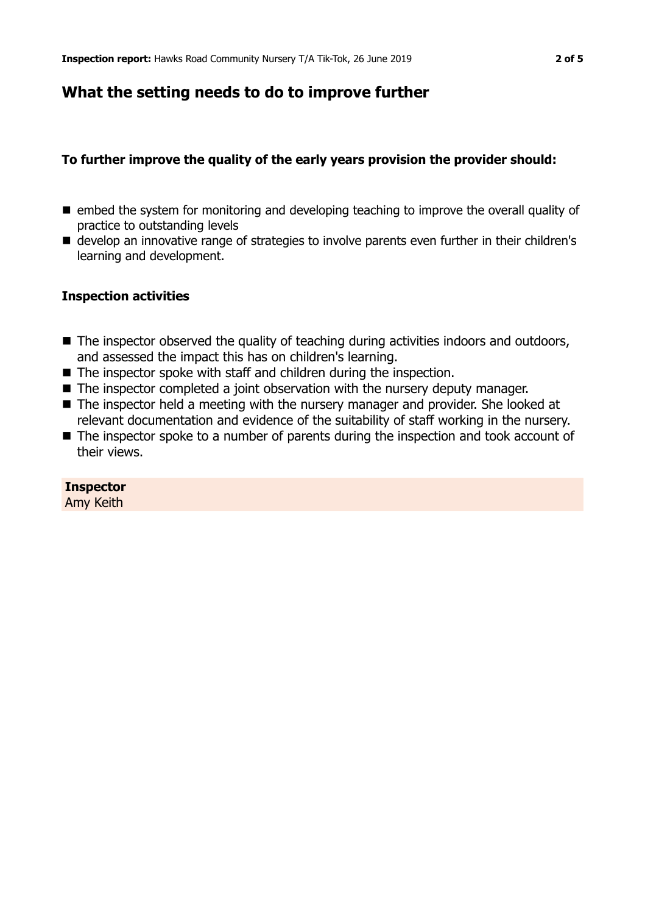## **What the setting needs to do to improve further**

## **To further improve the quality of the early years provision the provider should:**

- $\blacksquare$  embed the system for monitoring and developing teaching to improve the overall quality of practice to outstanding levels
- develop an innovative range of strategies to involve parents even further in their children's learning and development.

#### **Inspection activities**

- The inspector observed the quality of teaching during activities indoors and outdoors, and assessed the impact this has on children's learning.
- $\blacksquare$  The inspector spoke with staff and children during the inspection.
- $\blacksquare$  The inspector completed a joint observation with the nursery deputy manager.
- $\blacksquare$  The inspector held a meeting with the nursery manager and provider. She looked at relevant documentation and evidence of the suitability of staff working in the nursery.
- $\blacksquare$  The inspector spoke to a number of parents during the inspection and took account of their views.

## **Inspector**

Amy Keith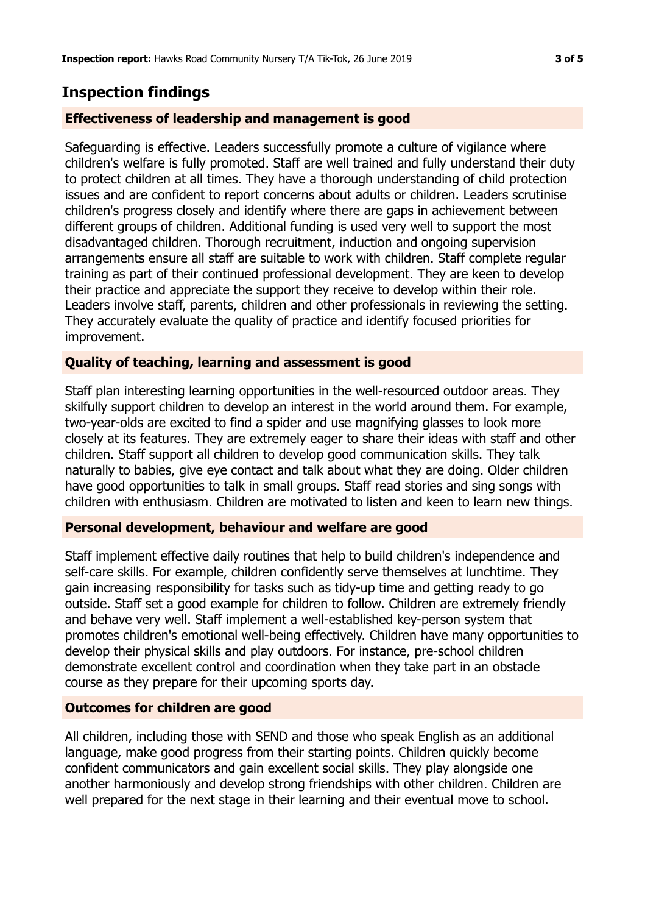## **Inspection findings**

## **Effectiveness of leadership and management is good**

Safeguarding is effective. Leaders successfully promote a culture of vigilance where children's welfare is fully promoted. Staff are well trained and fully understand their duty to protect children at all times. They have a thorough understanding of child protection issues and are confident to report concerns about adults or children. Leaders scrutinise children's progress closely and identify where there are gaps in achievement between different groups of children. Additional funding is used very well to support the most disadvantaged children. Thorough recruitment, induction and ongoing supervision arrangements ensure all staff are suitable to work with children. Staff complete regular training as part of their continued professional development. They are keen to develop their practice and appreciate the support they receive to develop within their role. Leaders involve staff, parents, children and other professionals in reviewing the setting. They accurately evaluate the quality of practice and identify focused priorities for improvement.

## **Quality of teaching, learning and assessment is good**

Staff plan interesting learning opportunities in the well-resourced outdoor areas. They skilfully support children to develop an interest in the world around them. For example, two-year-olds are excited to find a spider and use magnifying glasses to look more closely at its features. They are extremely eager to share their ideas with staff and other children. Staff support all children to develop good communication skills. They talk naturally to babies, give eye contact and talk about what they are doing. Older children have good opportunities to talk in small groups. Staff read stories and sing songs with children with enthusiasm. Children are motivated to listen and keen to learn new things.

## **Personal development, behaviour and welfare are good**

Staff implement effective daily routines that help to build children's independence and self-care skills. For example, children confidently serve themselves at lunchtime. They gain increasing responsibility for tasks such as tidy-up time and getting ready to go outside. Staff set a good example for children to follow. Children are extremely friendly and behave very well. Staff implement a well-established key-person system that promotes children's emotional well-being effectively. Children have many opportunities to develop their physical skills and play outdoors. For instance, pre-school children demonstrate excellent control and coordination when they take part in an obstacle course as they prepare for their upcoming sports day.

## **Outcomes for children are good**

All children, including those with SEND and those who speak English as an additional language, make good progress from their starting points. Children quickly become confident communicators and gain excellent social skills. They play alongside one another harmoniously and develop strong friendships with other children. Children are well prepared for the next stage in their learning and their eventual move to school.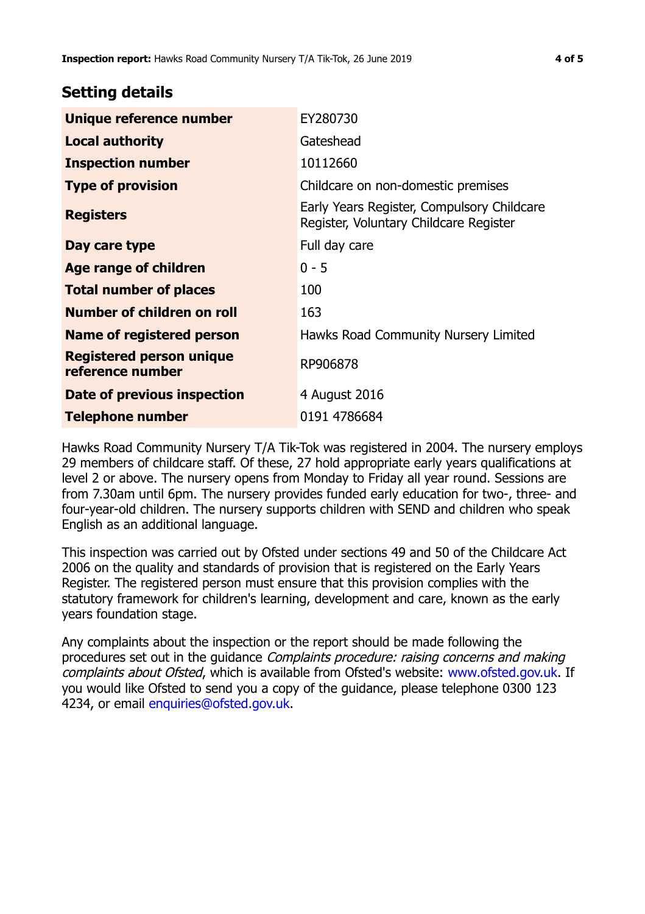## **Setting details**

| Unique reference number                      | EY280730                                                                             |  |
|----------------------------------------------|--------------------------------------------------------------------------------------|--|
| <b>Local authority</b>                       | Gateshead                                                                            |  |
| <b>Inspection number</b>                     | 10112660                                                                             |  |
| <b>Type of provision</b>                     | Childcare on non-domestic premises                                                   |  |
| <b>Registers</b>                             | Early Years Register, Compulsory Childcare<br>Register, Voluntary Childcare Register |  |
| Day care type                                | Full day care                                                                        |  |
| Age range of children                        | $0 - 5$                                                                              |  |
| <b>Total number of places</b>                | 100                                                                                  |  |
| Number of children on roll                   | 163                                                                                  |  |
| Name of registered person                    | Hawks Road Community Nursery Limited                                                 |  |
| Registered person unique<br>reference number | RP906878                                                                             |  |
| Date of previous inspection                  | 4 August 2016                                                                        |  |
| <b>Telephone number</b>                      | 0191 4786684                                                                         |  |

Hawks Road Community Nursery T/A Tik-Tok was registered in 2004. The nursery employs 29 members of childcare staff. Of these, 27 hold appropriate early years qualifications at level 2 or above. The nursery opens from Monday to Friday all year round. Sessions are from 7.30am until 6pm. The nursery provides funded early education for two-, three- and four-year-old children. The nursery supports children with SEND and children who speak English as an additional language.

This inspection was carried out by Ofsted under sections 49 and 50 of the Childcare Act 2006 on the quality and standards of provision that is registered on the Early Years Register. The registered person must ensure that this provision complies with the statutory framework for children's learning, development and care, known as the early years foundation stage.

Any complaints about the inspection or the report should be made following the procedures set out in the guidance Complaints procedure: raising concerns and making complaints about Ofsted, which is available from Ofsted's website: www.ofsted.gov.uk. If you would like Ofsted to send you a copy of the guidance, please telephone 0300 123 4234, or email [enquiries@ofsted.gov.uk.](mailto:enquiries@ofsted.gov.uk)